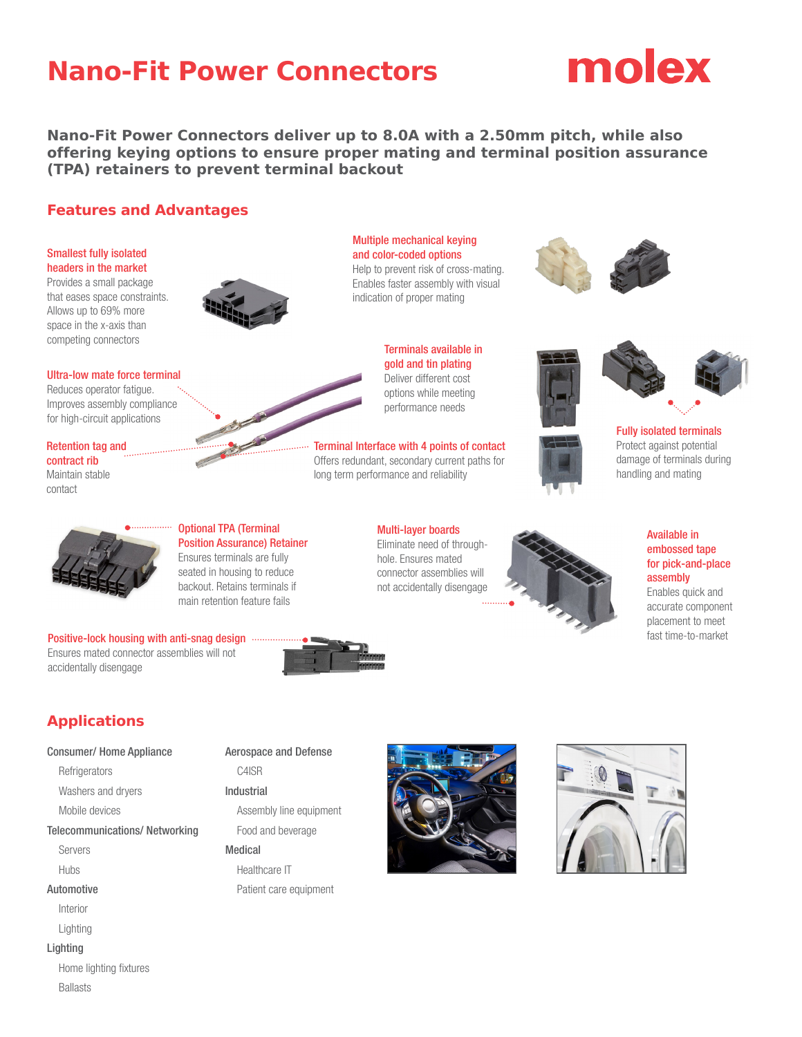## **Nano-Fit Power Connectors**



**Nano-Fit Power Connectors deliver up to 8.0A with a 2.50mm pitch, while also offering keying options to ensure proper mating and terminal position assurance (TPA) retainers to prevent terminal backout**

#### **Features and Advantages**

#### Smallest fully isolated headers in the market

Provides a small package that eases space constraints. Allows up to 69% more space in the x-axis than competing connectors



and color-coded options Help to prevent risk of cross-mating. Enables faster assembly with visual indication of proper mating

Multiple mechanical keying





Terminal Interface with 4 points of contact Offers redundant, secondary current paths for long term performance and reliability

> Multi-layer boards Eliminate need of throughhole. Ensures mated connector assemblies will not accidentally disengage





Fully isolated terminals Protect against potential damage of terminals during handling and mating



accurate component placement to meet fast time-to-market



Reduces operator fatigue. Improves assembly compliance for high-circuit applications

Retention tag and contract rib Maintain stable contact



#### Optional TPA (Terminal Position Assurance) Retainer Ensures terminals are fully

seated in housing to reduce backout. Retains terminals if main retention feature fails

Positive-lock housing with anti-snag design ... Ensures mated connector assemblies will not accidentally disengage



### **Applications**

#### Consumer/ Home Appliance

**Refrigerators** 

Washers and dryers

Mobile devices

Telecommunications/ Networking

Servers

Hubs

#### Automotive

- Interior
- Lighting
- Lighting
	- Home lighting fixtures Ballasts

#### Aerospace and Defense

C4ISR

Industrial

Assembly line equipment Food and beverage

#### Medical

Healthcare IT Patient care equipment